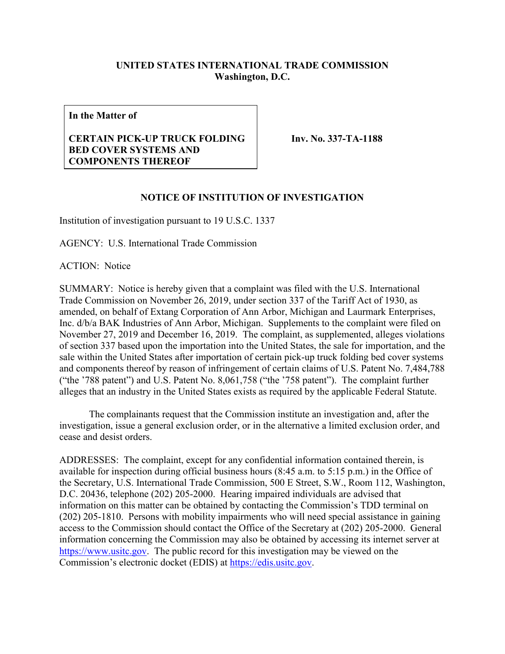## **UNITED STATES INTERNATIONAL TRADE COMMISSION Washington, D.C.**

**In the Matter of**

## **CERTAIN PICK-UP TRUCK FOLDING BED COVER SYSTEMS AND COMPONENTS THEREOF**

**Inv. No. 337-TA-1188**

## **NOTICE OF INSTITUTION OF INVESTIGATION**

Institution of investigation pursuant to 19 U.S.C. 1337

AGENCY: U.S. International Trade Commission

ACTION: Notice

SUMMARY: Notice is hereby given that a complaint was filed with the U.S. International Trade Commission on November 26, 2019, under section 337 of the Tariff Act of 1930, as amended, on behalf of Extang Corporation of Ann Arbor, Michigan and Laurmark Enterprises, Inc. d/b/a BAK Industries of Ann Arbor, Michigan. Supplements to the complaint were filed on November 27, 2019 and December 16, 2019. The complaint, as supplemented, alleges violations of section 337 based upon the importation into the United States, the sale for importation, and the sale within the United States after importation of certain pick-up truck folding bed cover systems and components thereof by reason of infringement of certain claims of U.S. Patent No. 7,484,788 ("the '788 patent") and U.S. Patent No. 8,061,758 ("the '758 patent"). The complaint further alleges that an industry in the United States exists as required by the applicable Federal Statute.

The complainants request that the Commission institute an investigation and, after the investigation, issue a general exclusion order, or in the alternative a limited exclusion order, and cease and desist orders.

ADDRESSES: The complaint, except for any confidential information contained therein, is available for inspection during official business hours (8:45 a.m. to 5:15 p.m.) in the Office of the Secretary, U.S. International Trade Commission, 500 E Street, S.W., Room 112, Washington, D.C. 20436, telephone (202) 205-2000. Hearing impaired individuals are advised that information on this matter can be obtained by contacting the Commission's TDD terminal on (202) 205-1810. Persons with mobility impairments who will need special assistance in gaining access to the Commission should contact the Office of the Secretary at (202) 205-2000. General information concerning the Commission may also be obtained by accessing its internet server at [https://www.usitc.gov.](https://www.usitc.gov/) The public record for this investigation may be viewed on the Commission's electronic docket (EDIS) at [https://edis.usitc.gov.](https://edis.usitc.gov/)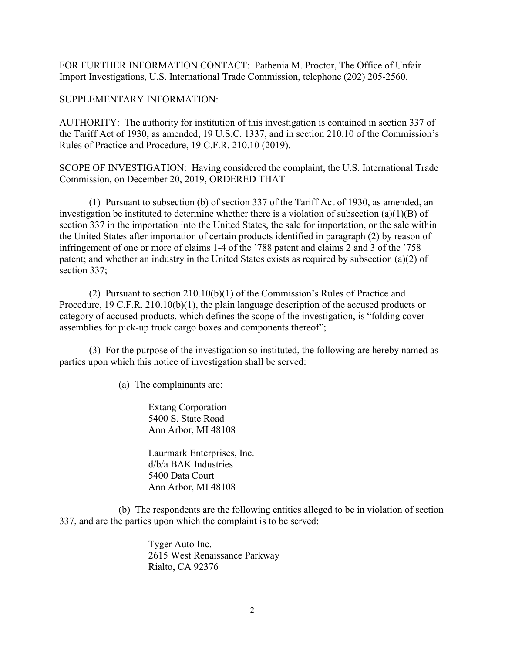FOR FURTHER INFORMATION CONTACT: Pathenia M. Proctor, The Office of Unfair Import Investigations, U.S. International Trade Commission, telephone (202) 205-2560.

SUPPLEMENTARY INFORMATION:

AUTHORITY: The authority for institution of this investigation is contained in section 337 of the Tariff Act of 1930, as amended, 19 U.S.C. 1337, and in section 210.10 of the Commission's Rules of Practice and Procedure, 19 C.F.R. 210.10 (2019).

SCOPE OF INVESTIGATION: Having considered the complaint, the U.S. International Trade Commission, on December 20, 2019, ORDERED THAT –

(1) Pursuant to subsection (b) of section 337 of the Tariff Act of 1930, as amended, an investigation be instituted to determine whether there is a violation of subsection (a)(1)(B) of section 337 in the importation into the United States, the sale for importation, or the sale within the United States after importation of certain products identified in paragraph (2) by reason of infringement of one or more of claims 1-4 of the '788 patent and claims 2 and 3 of the '758 patent; and whether an industry in the United States exists as required by subsection (a)(2) of section 337;

(2) Pursuant to section 210.10(b)(1) of the Commission's Rules of Practice and Procedure, 19 C.F.R. 210.10(b)(1), the plain language description of the accused products or category of accused products, which defines the scope of the investigation, is "folding cover assemblies for pick-up truck cargo boxes and components thereof";

(3) For the purpose of the investigation so instituted, the following are hereby named as parties upon which this notice of investigation shall be served:

(a) The complainants are:

Extang Corporation 5400 S. State Road Ann Arbor, MI 48108

Laurmark Enterprises, Inc. d/b/a BAK Industries 5400 Data Court Ann Arbor, MI 48108

(b) The respondents are the following entities alleged to be in violation of section 337, and are the parties upon which the complaint is to be served:

> Tyger Auto Inc. 2615 West Renaissance Parkway Rialto, CA 92376